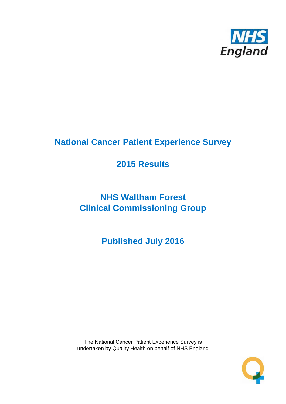

# **National Cancer Patient Experience Survey**

# **2015 Results**

# **NHS Waltham Forest Clinical Commissioning Group**

**Published July 2016**

The National Cancer Patient Experience Survey is undertaken by Quality Health on behalf of NHS England

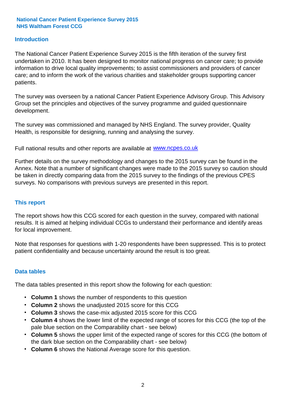#### **Introduction**

The National Cancer Patient Experience Survey 2015 is the fifth iteration of the survey first undertaken in 2010. It has been designed to monitor national progress on cancer care; to provide information to drive local quality improvements; to assist commissioners and providers of cancer care; and to inform the work of the various charities and stakeholder groups supporting cancer patients.

The survey was overseen by a national Cancer Patient Experience Advisory Group. This Advisory Group set the principles and objectives of the survey programme and guided questionnaire development.

The survey was commissioned and managed by NHS England. The survey provider, Quality Health, is responsible for designing, running and analysing the survey.

Full national results and other reports are available at www.ncpes.co.uk

Further details on the survey methodology and changes to the 2015 survey can be found in the Annex. Note that a number of significant changes were made to the 2015 survey so caution should be taken in directly comparing data from the 2015 survey to the findings of the previous CPES surveys. No comparisons with previous surveys are presented in this report.

#### **This report**

The report shows how this CCG scored for each question in the survey, compared with national results. It is aimed at helping individual CCGs to understand their performance and identify areas for local improvement.

Note that responses for questions with 1-20 respondents have been suppressed. This is to protect patient confidentiality and because uncertainty around the result is too great.

#### **Data tables**

The data tables presented in this report show the following for each question:

- **Column 1** shows the number of respondents to this question
- **Column 2** shows the unadjusted 2015 score for this CCG
- **Column 3** shows the case-mix adjusted 2015 score for this CCG
- **Column 4** shows the lower limit of the expected range of scores for this CCG (the top of the pale blue section on the Comparability chart - see below)
- **Column 5** shows the upper limit of the expected range of scores for this CCG (the bottom of the dark blue section on the Comparability chart - see below)
- **Column 6** shows the National Average score for this question.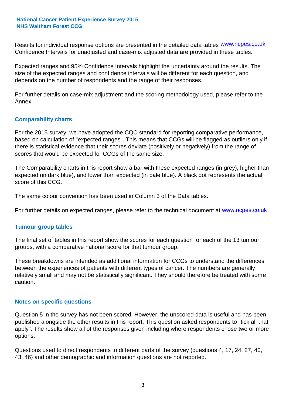Results for individual response options are presented in the detailed data tables **WWW.ncpes.co.uk** Confidence Intervals for unadjusted and case-mix adjusted data are provided in these tables.

Expected ranges and 95% Confidence Intervals highlight the uncertainty around the results. The size of the expected ranges and confidence intervals will be different for each question, and depends on the number of respondents and the range of their responses.

For further details on case-mix adjustment and the scoring methodology used, please refer to the Annex.

#### **Comparability charts**

For the 2015 survey, we have adopted the CQC standard for reporting comparative performance, based on calculation of "expected ranges". This means that CCGs will be flagged as outliers only if there is statistical evidence that their scores deviate (positively or negatively) from the range of scores that would be expected for CCGs of the same size.

The Comparability charts in this report show a bar with these expected ranges (in grey), higher than expected (in dark blue), and lower than expected (in pale blue). A black dot represents the actual score of this CCG.

The same colour convention has been used in Column 3 of the Data tables.

For further details on expected ranges, please refer to the technical document at **www.ncpes.co.uk** 

#### **Tumour group tables**

The final set of tables in this report show the scores for each question for each of the 13 tumour groups, with a comparative national score for that tumour group.

These breakdowns are intended as additional information for CCGs to understand the differences between the experiences of patients with different types of cancer. The numbers are generally relatively small and may not be statistically significant. They should therefore be treated with some caution.

#### **Notes on specific questions**

Question 5 in the survey has not been scored. However, the unscored data is useful and has been published alongside the other results in this report. This question asked respondents to "tick all that apply". The results show all of the responses given including where respondents chose two or more options.

Questions used to direct respondents to different parts of the survey (questions 4, 17, 24, 27, 40, 43, 46) and other demographic and information questions are not reported.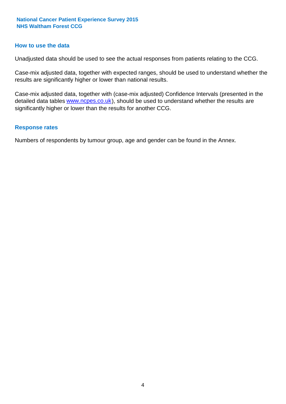#### **How to use the data**

Unadjusted data should be used to see the actual responses from patients relating to the CCG.

Case-mix adjusted data, together with expected ranges, should be used to understand whether the results are significantly higher or lower than national results.

Case-mix adjusted data, together with (case-mix adjusted) Confidence Intervals (presented in the detailed data tables **www.ncpes.co.uk**), should be used to understand whether the results are significantly higher or lower than the results for another CCG.

#### **Response rates**

Numbers of respondents by tumour group, age and gender can be found in the Annex.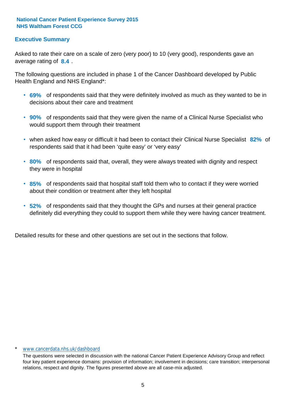#### **Executive Summary**

average rating of 8.4. Asked to rate their care on a scale of zero (very poor) to 10 (very good), respondents gave an

The following questions are included in phase 1 of the Cancer Dashboard developed by Public Health England and NHS England\*:

- **69%** of respondents said that they were definitely involved as much as they wanted to be in decisions about their care and treatment
- **90%** of respondents said that they were given the name of a Clinical Nurse Specialist who would support them through their treatment
- when asked how easy or difficult it had been to contact their Clinical Nurse Specialist 82% of respondents said that it had been 'quite easy' or 'very easy'
- **80%** of respondents said that, overall, they were always treated with dignity and respect they were in hospital
- **85%** of respondents said that hospital staff told them who to contact if they were worried about their condition or treatment after they left hospital
- **52%** of respondents said that they thought the GPs and nurses at their general practice definitely did everything they could to support them while they were having cancer treatment.

Detailed results for these and other questions are set out in the sections that follow.

#### \* www.cancerdata.nhs.uk/dashboard

The questions were selected in discussion with the national Cancer Patient Experience Advisory Group and reflect four key patient experience domains: provision of information; involvement in decisions; care transition; interpersonal relations, respect and dignity. The figures presented above are all case-mix adjusted.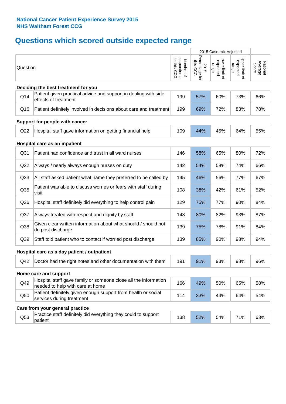# **Questions which scored outside expected range**

|                 |                                                                                                     |                                          |                                    | 2015 Case-mix Adjusted              |                                     |                              |
|-----------------|-----------------------------------------------------------------------------------------------------|------------------------------------------|------------------------------------|-------------------------------------|-------------------------------------|------------------------------|
| Question        |                                                                                                     | respondents<br>for this CCG<br>Number of | Percentage for<br>this CCG<br>2015 | Lower limit of<br>expected<br>range | Upper limit of<br>expected<br>range | Average<br>National<br>Score |
|                 | Deciding the best treatment for you                                                                 |                                          |                                    |                                     |                                     |                              |
| Q14             | Patient given practical advice and support in dealing with side<br>effects of treatment             | 199                                      | 57%                                | 60%                                 | 73%                                 | 66%                          |
| Q16             | Patient definitely involved in decisions about care and treatment                                   | 199                                      | 69%                                | 72%                                 | 83%                                 | 78%                          |
|                 | Support for people with cancer                                                                      |                                          |                                    |                                     |                                     |                              |
| Q22             | Hospital staff gave information on getting financial help                                           | 109                                      | 44%                                | 45%                                 | 64%                                 | 55%                          |
|                 | Hospital care as an inpatient                                                                       |                                          |                                    |                                     |                                     |                              |
| Q <sub>31</sub> | Patient had confidence and trust in all ward nurses                                                 | 146                                      | 58%                                | 65%                                 | 80%                                 | 72%                          |
| Q <sub>32</sub> | Always / nearly always enough nurses on duty                                                        | 142                                      | 54%                                | 58%                                 | 74%                                 | 66%                          |
| Q <sub>33</sub> | All staff asked patient what name they preferred to be called by                                    | 145                                      | 46%                                | 56%                                 | 77%                                 | 67%                          |
| Q35             | Patient was able to discuss worries or fears with staff during<br>visit                             | 108                                      | 38%                                | 42%                                 | 61%                                 | 52%                          |
| Q36             | Hospital staff definitely did everything to help control pain                                       | 129                                      | 75%                                | 77%                                 | 90%                                 | 84%                          |
| Q <sub>37</sub> | Always treated with respect and dignity by staff                                                    | 143                                      | 80%                                | 82%                                 | 93%                                 | 87%                          |
| Q <sub>38</sub> | Given clear written information about what should / should not<br>do post discharge                 | 139                                      | 75%                                | 78%                                 | 91%                                 | 84%                          |
| Q39             | Staff told patient who to contact if worried post discharge                                         | 139                                      | 85%                                | 90%                                 | 98%                                 | 94%                          |
|                 | Hospital care as a day patient / outpatient                                                         |                                          |                                    |                                     |                                     |                              |
| Q42             | Doctor had the right notes and other documentation with them                                        | 191                                      | 91%                                | 93%                                 | 98%                                 | 96%                          |
|                 | Home care and support                                                                               |                                          |                                    |                                     |                                     |                              |
| Q49             | Hospital staff gave family or someone close all the information<br>needed to help with care at home | 166                                      | 49%                                | 50%                                 | 65%                                 | 58%                          |
| Q50             | Patient definitely given enough support from health or social<br>services during treatment          | 114                                      | 33%                                | 44%                                 | 64%                                 | 54%                          |
|                 | Care from your general practice                                                                     |                                          |                                    |                                     |                                     |                              |
| Q53             | Practice staff definitely did everything they could to support<br>patient                           | 138                                      | 52%                                | 54%                                 | 71%                                 | 63%                          |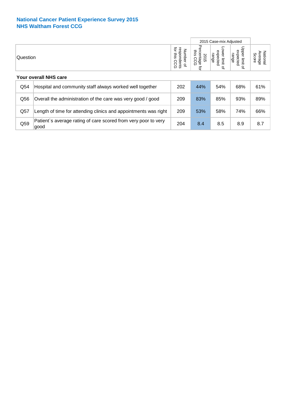|                              |                                                                        |     |                                                | 2015 Case-mix Adjusted                      |                                                         |                              |  |
|------------------------------|------------------------------------------------------------------------|-----|------------------------------------------------|---------------------------------------------|---------------------------------------------------------|------------------------------|--|
| Question                     |                                                                        |     | Percentage<br>this<br>2015<br>C<br>Ö<br>ᠺ<br>đ | ower limit<br>expected<br>range<br>$\Omega$ | Upper limit<br>expected<br>range<br>$\overline{\sigma}$ | Average<br>National<br>Score |  |
| <b>Your overall NHS care</b> |                                                                        |     |                                                |                                             |                                                         |                              |  |
| Q54                          | Hospital and community staff always worked well together               | 202 | 44%                                            | 54%                                         | 68%                                                     | 61%                          |  |
| Q56                          | Overall the administration of the care was very good / good            | 209 | 83%                                            | 85%                                         | 93%                                                     | 89%                          |  |
| Q57                          | Length of time for attending clinics and appointments was right        | 209 | 53%                                            | 58%                                         | 74%                                                     | 66%                          |  |
| Q59                          | Patient's average rating of care scored from very poor to very<br>good | 204 | 8.4                                            | 8.5                                         | 8.9                                                     | 8.7                          |  |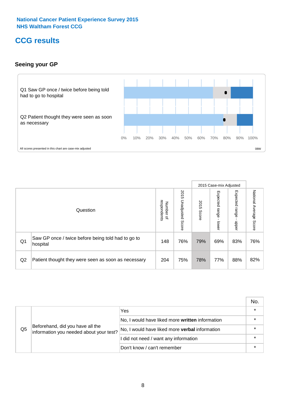### **CCG results**

#### **Seeing your GP**



|    |                                                                |                                         |                             |               | 2015 Case-mix Adjusted     |                            |                           |
|----|----------------------------------------------------------------|-----------------------------------------|-----------------------------|---------------|----------------------------|----------------------------|---------------------------|
|    | Question                                                       | respondents<br>Number<br>$\overline{a}$ | 2015<br>Unadjusted<br>Score | 2015<br>Score | Expected<br>range<br>lower | Expected<br>range<br>dpper | National Average<br>Score |
| Q1 | Saw GP once / twice before being told had to go to<br>hospital | 148                                     | 76%                         | 79%           | 69%                        | 83%                        | 76%                       |
| Q2 | Patient thought they were seen as soon as necessary            | 204                                     | 75%                         | 78%           | 77%                        | 88%                        | 82%                       |

|    |                                                                             |                                                 | No. |
|----|-----------------------------------------------------------------------------|-------------------------------------------------|-----|
| Q5 |                                                                             | Yes                                             |     |
|    | Beforehand, did you have all the<br>information you needed about your test? | No, I would have liked more written information |     |
|    |                                                                             | No, I would have liked more verbal information  |     |
|    |                                                                             | I did not need / want any information           |     |
|    |                                                                             | Don't know / can't remember                     |     |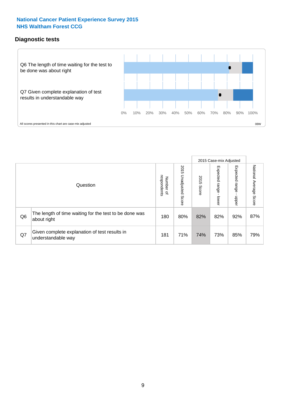### **Diagnostic tests**

![](_page_8_Figure_2.jpeg)

|                |                                                                       |                                       |                             |               |                         | 2015 Case-mix Adjusted  |                           |
|----------------|-----------------------------------------------------------------------|---------------------------------------|-----------------------------|---------------|-------------------------|-------------------------|---------------------------|
|                | Question                                                              | respondents<br>Number<br>$\mathbf{Q}$ | 2015<br>Unadjusted<br>Score | 2015<br>Score | Expected range<br>lower | Expected range<br>nbber | National Average<br>Score |
| Q <sub>6</sub> | The length of time waiting for the test to be done was<br>about right | 180                                   | 80%                         | 82%           | 82%                     | 92%                     | 87%                       |
| Q7             | Given complete explanation of test results in<br>understandable way   | 181                                   | 71%                         | 74%           | 73%                     | 85%                     | 79%                       |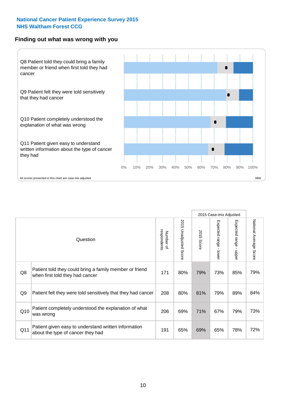#### **Finding out what was wrong with you**

![](_page_9_Figure_2.jpeg)

|                |                                                                                            |                          |                       |               | 2015 Case-mix Adjusted                  |                                           |                        |
|----------------|--------------------------------------------------------------------------------------------|--------------------------|-----------------------|---------------|-----------------------------------------|-------------------------------------------|------------------------|
|                | Question                                                                                   | respondents<br>Number of | 2015 Unadjusted Score | 2015<br>Score | Expected range<br>$\mathbf{I}$<br>lower | Expected range<br>$\blacksquare$<br>nbber | National Average Score |
| Q8             | Patient told they could bring a family member or friend<br>when first told they had cancer | 171                      | 80%                   | 79%           | 73%                                     | 85%                                       | 79%                    |
| Q <sub>9</sub> | Patient felt they were told sensitively that they had cancer                               | 208                      | 80%                   | 81%           | 79%                                     | 89%                                       | 84%                    |
| Q10            | Patient completely understood the explanation of what<br>was wrong                         | 206                      | 69%                   | 71%           | 67%                                     | 79%                                       | 73%                    |
| Q11            | Patient given easy to understand written information<br>about the type of cancer they had  | 191                      | 65%                   | 69%           | 65%                                     | 78%                                       | 72%                    |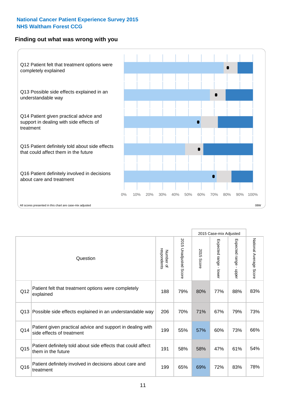#### **Finding out what was wrong with you**

![](_page_10_Figure_2.jpeg)

|     |                                                                                         |                          |                       |               | 2015 Case-mix Adjusted                  |                           |                        |
|-----|-----------------------------------------------------------------------------------------|--------------------------|-----------------------|---------------|-----------------------------------------|---------------------------|------------------------|
|     | Question                                                                                | respondents<br>Number of | 2015 Unadjusted Score | 2015<br>Score | Expected range<br>$\mathbf{r}$<br>lower | Expected range -<br>nbber | National Average Score |
| Q12 | Patient felt that treatment options were completely<br>explained                        | 188                      | 79%                   | 80%           | 77%                                     | 88%                       | 83%                    |
| Q13 | Possible side effects explained in an understandable way                                | 206                      | 70%                   | 71%           | 67%                                     | 79%                       | 73%                    |
| Q14 | Patient given practical advice and support in dealing with<br>side effects of treatment | 199                      | 55%                   | 57%           | 60%                                     | 73%                       | 66%                    |
| Q15 | Patient definitely told about side effects that could affect<br>them in the future      | 191                      | 58%                   | 58%           | 47%                                     | 61%                       | 54%                    |
| Q16 | Patient definitely involved in decisions about care and<br>treatment                    | 199                      | 65%                   | 69%           | 72%                                     | 83%                       | 78%                    |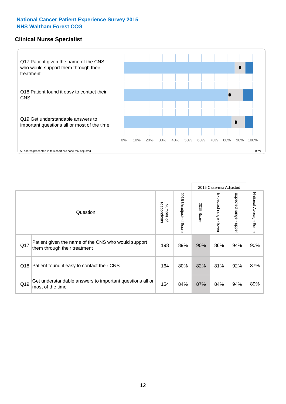#### **Clinical Nurse Specialist**

![](_page_11_Figure_2.jpeg)

|     |                                                                                     |                          |                       | 2015 Case-mix Adjusted |                         |                         |                           |
|-----|-------------------------------------------------------------------------------------|--------------------------|-----------------------|------------------------|-------------------------|-------------------------|---------------------------|
|     | Question                                                                            | respondents<br>Number of | 2015 Unadjusted Score | 2015<br>Score          | Expected range<br>lower | Expected range<br>nbber | National Average<br>Score |
| Q17 | Patient given the name of the CNS who would support<br>them through their treatment | 198                      | 89%                   | 90%                    | 86%                     | 94%                     | 90%                       |
| Q18 | Patient found it easy to contact their CNS                                          | 164                      | 80%                   | 82%                    | 81%                     | 92%                     | 87%                       |
| Q19 | Get understandable answers to important questions all or<br>most of the time        | 154                      | 84%                   | 87%                    | 84%                     | 94%                     | 89%                       |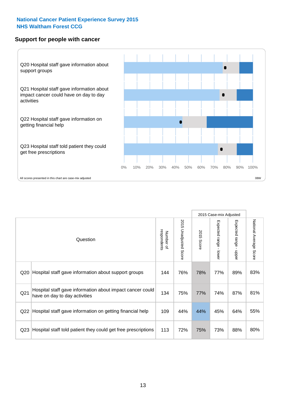#### **Support for people with cancer**

![](_page_12_Figure_2.jpeg)

|                 |                                                                                            |                          |                                 |               | 2015 Case-mix Adjusted                  |                                           |                        |
|-----------------|--------------------------------------------------------------------------------------------|--------------------------|---------------------------------|---------------|-----------------------------------------|-------------------------------------------|------------------------|
|                 | Question                                                                                   | respondents<br>Number of | 2015<br><b>Unadjusted Score</b> | 2015<br>Score | Expected range<br>$\mathbf{I}$<br>lower | Expected range<br>$\blacksquare$<br>nbber | National Average Score |
| Q <sub>20</sub> | Hospital staff gave information about support groups                                       | 144                      | 76%                             | 78%           | 77%                                     | 89%                                       | 83%                    |
| Q <sub>21</sub> | Hospital staff gave information about impact cancer could<br>have on day to day activities | 134                      | 75%                             | 77%           | 74%                                     | 87%                                       | 81%                    |
| Q <sub>22</sub> | Hospital staff gave information on getting financial help                                  | 109                      | 44%                             | 44%           | 45%                                     | 64%                                       | 55%                    |
| Q <sub>23</sub> | Hospital staff told patient they could get free prescriptions                              | 113                      | 72%                             | 75%           | 73%                                     | 88%                                       | 80%                    |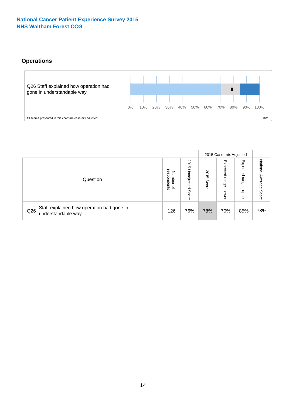#### **Operations**

![](_page_13_Figure_2.jpeg)

|     |                                                                 |                                              |                             |               | 2015 Case-mix Adjusted     |                           |                              |  |
|-----|-----------------------------------------------------------------|----------------------------------------------|-----------------------------|---------------|----------------------------|---------------------------|------------------------------|--|
|     | Question                                                        | respondents<br>Number<br>$\overline{\sigma}$ | 2015<br>Unadjusted<br>Score | 2015<br>Score | Expected<br>range<br>lower | Expected<br>range<br>dddn | National<br>Average<br>Score |  |
| Q26 | Staff explained how operation had gone in<br>understandable way | 126                                          | 76%                         | 78%           | 70%                        | 85%                       | 78%                          |  |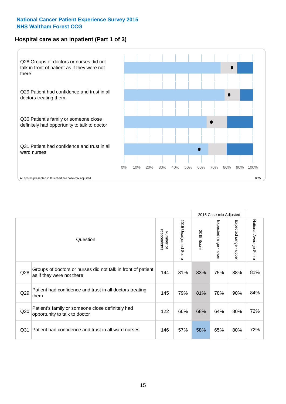#### **Hospital care as an inpatient (Part 1 of 3)**

![](_page_14_Figure_2.jpeg)

All scores presented in this chart are case-mix adjusted on the extent of the second percentage scores presented in this chart are case-mix adjusted on the second of the second of the second of the second of the second of

|                 |                                                                                           |                          |                                 |               | 2015 Case-mix Adjusted                  |                           |                        |
|-----------------|-------------------------------------------------------------------------------------------|--------------------------|---------------------------------|---------------|-----------------------------------------|---------------------------|------------------------|
|                 | Question                                                                                  | respondents<br>Number of | 2015<br><b>Unadjusted Score</b> | 2015<br>Score | Expected range<br>$\mathbf{r}$<br>lower | Expected range<br>- nbber | National Average Score |
| Q28             | Groups of doctors or nurses did not talk in front of patient<br>as if they were not there | 144                      | 81%                             | 83%           | 75%                                     | 88%                       | 81%                    |
| Q29             | Patient had confidence and trust in all doctors treating<br>them                          | 145                      | 79%                             | 81%           | 78%                                     | 90%                       | 84%                    |
| Q30             | Patient's family or someone close definitely had<br>opportunity to talk to doctor         | 122                      | 66%                             | 68%           | 64%                                     | 80%                       | 72%                    |
| Q <sub>31</sub> | Patient had confidence and trust in all ward nurses                                       | 146                      | 57%                             | 58%           | 65%                                     | 80%                       | 72%                    |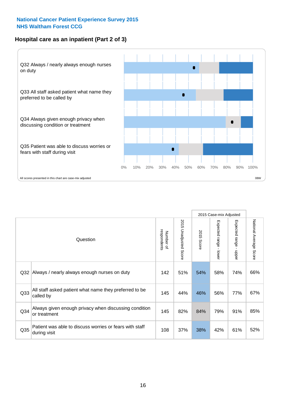#### **Hospital care as an inpatient (Part 2 of 3)**

![](_page_15_Figure_2.jpeg)

|                 |                                                                         |                          |                                 |                      | 2015 Case-mix Adjusted                       |                           |                        |
|-----------------|-------------------------------------------------------------------------|--------------------------|---------------------------------|----------------------|----------------------------------------------|---------------------------|------------------------|
|                 | Question                                                                | respondents<br>Number of | 2015<br><b>Unadjusted Score</b> | 2015<br><b>Score</b> | Expected<br>I range<br>$\mathbf{r}$<br>lower | Expected range -<br>nbber | National Average Score |
| Q <sub>32</sub> | Always / nearly always enough nurses on duty                            | 142                      | 51%                             | 54%                  | 58%                                          | 74%                       | 66%                    |
| Q <sub>33</sub> | All staff asked patient what name they preferred to be<br>called by     | 145                      | 44%                             | 46%                  | 56%                                          | 77%                       | 67%                    |
| Q <sub>34</sub> | Always given enough privacy when discussing condition<br>or treatment   | 145                      | 82%                             | 84%                  | 79%                                          | 91%                       | 85%                    |
| Q35             | Patient was able to discuss worries or fears with staff<br>during visit | 108                      | 37%                             | 38%                  | 42%                                          | 61%                       | 52%                    |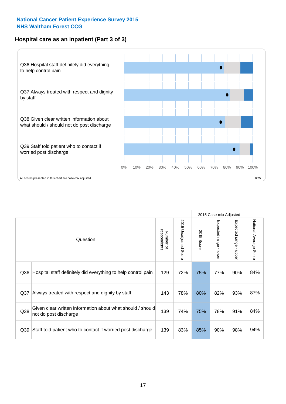#### **Hospital care as an inpatient (Part 3 of 3)**

![](_page_16_Figure_2.jpeg)

|     |                                                                                     |                          |                                      |               | 2015 Case-mix Adjusted                    |                                           |                        |
|-----|-------------------------------------------------------------------------------------|--------------------------|--------------------------------------|---------------|-------------------------------------------|-------------------------------------------|------------------------|
|     | Question                                                                            | respondents<br>Number of | 201<br>C)<br><b>Unadjusted Score</b> | 2015<br>Score | Expected range<br>$\blacksquare$<br>lower | Expected range<br>$\blacksquare$<br>nbber | National Average Score |
| Q36 | Hospital staff definitely did everything to help control pain                       | 129                      | 72%                                  | 75%           | 77%                                       | 90%                                       | 84%                    |
| Q37 | Always treated with respect and dignity by staff                                    |                          | 78%                                  | 80%           | 82%                                       | 93%                                       | 87%                    |
| Q38 | Given clear written information about what should / should<br>not do post discharge | 139                      | 74%                                  | 75%           | 78%                                       | 91%                                       | 84%                    |
| Q39 | Staff told patient who to contact if worried post discharge                         | 139                      | 83%                                  | 85%           | 90%                                       | 98%                                       | 94%                    |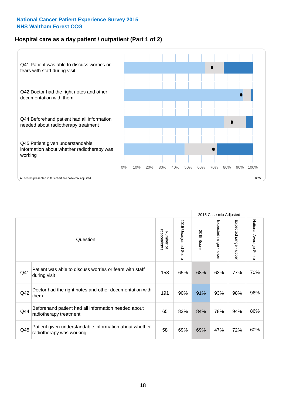#### **Hospital care as a day patient / outpatient (Part 1 of 2)**

![](_page_17_Figure_2.jpeg)

|     |                                                                                    |                          |                                 | 2015 Case-mix Adjusted |                                         |                                         |                        |
|-----|------------------------------------------------------------------------------------|--------------------------|---------------------------------|------------------------|-----------------------------------------|-----------------------------------------|------------------------|
|     | Question                                                                           | respondents<br>Number of | 2015<br><b>Unadjusted Score</b> | 2015<br>Score          | Expected range<br>$\mathbf{r}$<br>lower | Expected range<br>$\mathbf{I}$<br>nbber | National Average Score |
| Q41 | Patient was able to discuss worries or fears with staff<br>during visit            | 158                      | 65%                             | 68%                    | 63%                                     | 77%                                     | 70%                    |
| Q42 | Doctor had the right notes and other documentation with<br>them                    |                          | 90%                             | 91%                    | 93%                                     | 98%                                     | 96%                    |
| Q44 | Beforehand patient had all information needed about<br>radiotherapy treatment      | 65                       | 83%                             | 84%                    | 78%                                     | 94%                                     | 86%                    |
| Q45 | Patient given understandable information about whether<br>radiotherapy was working | 58                       | 69%                             | 69%                    | 47%                                     | 72%                                     | 60%                    |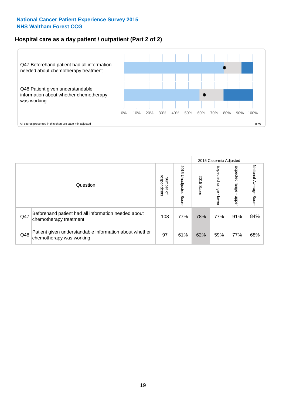#### **Hospital care as a day patient / outpatient (Part 2 of 2)**

![](_page_18_Figure_2.jpeg)

|          |                                                                                    |     | 2015 Case-mix Adjusted      |               |                              |                         |                           |
|----------|------------------------------------------------------------------------------------|-----|-----------------------------|---------------|------------------------------|-------------------------|---------------------------|
| Question |                                                                                    |     | 2015<br>Unadjusted<br>Score | 2015<br>Score | Expected<br>I range<br>lower | Expected range<br>nbber | National Average<br>Score |
| Q47      | Beforehand patient had all information needed about<br>chemotherapy treatment      | 108 | 77%                         | 78%           | 77%                          | 91%                     | 84%                       |
| Q48      | Patient given understandable information about whether<br>chemotherapy was working | 97  | 61%                         | 62%           | 59%                          | 77%                     | 68%                       |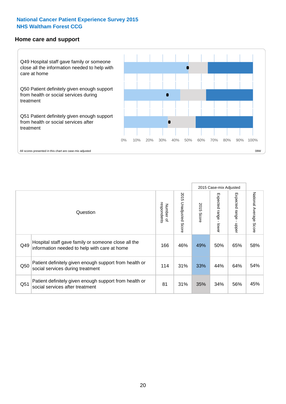#### **Home care and support**

![](_page_19_Figure_2.jpeg)

|                 |                                                                                                     | 2015 Case-mix Adjusted   |                                 |               |                         |                             |                           |
|-----------------|-----------------------------------------------------------------------------------------------------|--------------------------|---------------------------------|---------------|-------------------------|-----------------------------|---------------------------|
|                 | Question                                                                                            | respondents<br>Number of | 2015<br><b>Unadjusted Score</b> | 2015<br>Score | Expected range<br>lower | Expected<br>l range<br>mper | National Average<br>Score |
| Q49             | Hospital staff gave family or someone close all the<br>information needed to help with care at home | 166                      | 46%                             | 49%           | 50%                     | 65%                         | 58%                       |
| Q50             | Patient definitely given enough support from health or<br>social services during treatment          | 114                      | 31%                             | 33%           | 44%                     | 64%                         | 54%                       |
| Q <sub>51</sub> | Patient definitely given enough support from health or<br>social services after treatment           | 81                       | 31%                             | 35%           | 34%                     | 56%                         | 45%                       |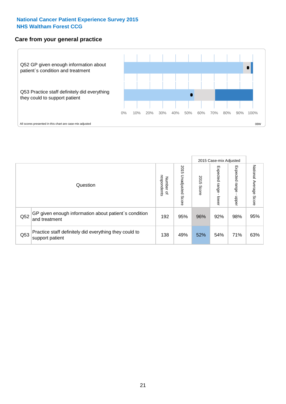#### **Care from your general practice**

![](_page_20_Figure_2.jpeg)

|          |                                                                           |     | 2015 Case-mix Adjusted      |               |                                   |                            |                           |
|----------|---------------------------------------------------------------------------|-----|-----------------------------|---------------|-----------------------------------|----------------------------|---------------------------|
| Question |                                                                           |     | 2015<br>Unadjusted<br>Score | 2015<br>Score | Expected<br><b>Lange</b><br>lower | Expected<br>range<br>doper | National Average<br>Score |
| Q52      | GP given enough information about patient's condition<br>and treatment    | 192 | 95%                         | 96%           | 92%                               | 98%                        | 95%                       |
| Q53      | Practice staff definitely did everything they could to<br>support patient | 138 | 49%                         | 52%           | 54%                               | 71%                        | 63%                       |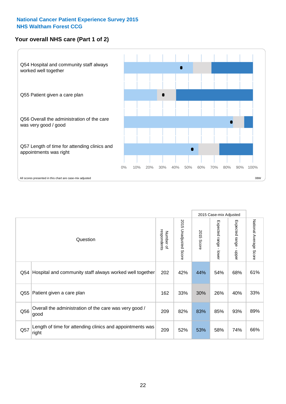#### **Your overall NHS care (Part 1 of 2)**

![](_page_21_Figure_2.jpeg)

|     |                                                                    |                          |                          | 2015 Case-mix Adjusted |                                           |                                           |                        |
|-----|--------------------------------------------------------------------|--------------------------|--------------------------|------------------------|-------------------------------------------|-------------------------------------------|------------------------|
|     | Question                                                           | respondents<br>Number of | 2015<br>Unadjusted Score | 2015<br><b>Score</b>   | Expected range<br>$\blacksquare$<br>lower | Expected range<br>$\blacksquare$<br>nbber | National Average Score |
| Q54 | Hospital and community staff always worked well together           | 202                      | 42%                      | 44%                    | 54%                                       | 68%                                       | 61%                    |
| Q55 | Patient given a care plan                                          |                          | 33%                      | 30%                    | 26%                                       | 40%                                       | 33%                    |
| Q56 | Overall the administration of the care was very good /<br>good     |                          | 82%                      | 83%                    | 85%                                       | 93%                                       | 89%                    |
| Q57 | Length of time for attending clinics and appointments was<br>right | 209                      | 52%                      | 53%                    | 58%                                       | 74%                                       | 66%                    |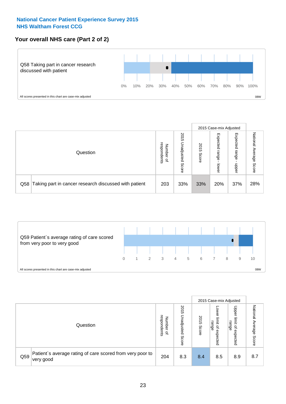#### **Your overall NHS care (Part 2 of 2)**

![](_page_22_Figure_2.jpeg)

|          |                                                       | 2015 Case-mix Adjusted                       |                             |               |                            |                            |                        |
|----------|-------------------------------------------------------|----------------------------------------------|-----------------------------|---------------|----------------------------|----------------------------|------------------------|
| Question |                                                       | respondents<br>Number<br>$\overline{\sigma}$ | 2015<br>Unadjusted<br>Score | 2015<br>Score | Expected<br>range<br>lower | Expected<br>range<br>doper | National Average Score |
| Q58      | Taking part in cancer research discussed with patient | 203                                          | 33%                         | 33%           | 20%                        | 37%                        | 28%                    |

![](_page_22_Figure_4.jpeg)

|          |                                                                        |                                   | 2015 Case-mix Adjusted      |               |                                         |                                                       |                              |
|----------|------------------------------------------------------------------------|-----------------------------------|-----------------------------|---------------|-----------------------------------------|-------------------------------------------------------|------------------------------|
| Question |                                                                        | respondents<br>Number<br>$\Omega$ | 2015<br>Inadjusted<br>Score | 2015<br>Score | OWer<br>limit<br>range<br>٩<br>expected | Upper<br>limit<br>range<br>$\overline{a}$<br>expected | National<br>Average<br>Score |
| Q59      | Patient's average rating of care scored from very poor to<br>very good | 204                               | 8.3                         | 8.4           | 8.5                                     | 8.9                                                   | 8.7                          |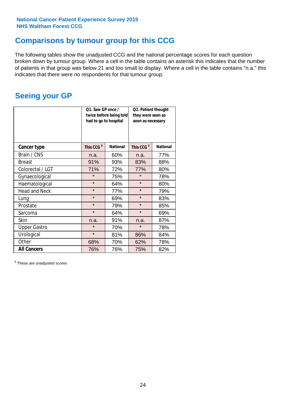### **Comparisons by tumour group for this CCG**

The following tables show the unadjusted CCG and the national percentage scores for each question broken down by tumour group. Where a cell in the table contains an asterisk this indicates that the number of patients in that group was below 21 and too small to display. Where a cell in the table contains "n.a." this indicates that there were no respondents for that tumour group.

### **Seeing your GP**

|                      | Q1. Saw GP once /<br>had to go to hospital | twice before being told | Q2. Patient thought<br>they were seen as<br>soon as necessary |                 |  |
|----------------------|--------------------------------------------|-------------------------|---------------------------------------------------------------|-----------------|--|
| <b>Cancer type</b>   | This CCG <sup>\$</sup>                     | <b>National</b>         | This CCG <sup>\$</sup>                                        | <b>National</b> |  |
| Brain / CNS          | n.a.                                       | 60%                     | n.a.                                                          | 77%             |  |
| <b>Breast</b>        | 91%                                        | 93%                     | 83%                                                           | 88%             |  |
| Colorectal / LGT     | 71%                                        | 72%                     | 77%                                                           | 80%             |  |
| Gynaecological       | $\star$<br>75%                             |                         | $\star$                                                       | 78%             |  |
| Haematological       | $\star$                                    | 64%                     | $\star$                                                       | 80%             |  |
| <b>Head and Neck</b> | $\star$                                    | 77%                     | $\star$                                                       | 79%             |  |
| Lung                 | $\star$                                    | 69%                     | $\star$                                                       | 83%             |  |
| Prostate             | $\star$                                    | 79%                     | $\star$                                                       | 85%             |  |
| Sarcoma              | $\star$                                    | 64%                     | $\star$                                                       | 69%             |  |
| <b>Skin</b>          | n.a.                                       | 91%                     | n.a.                                                          | 87%             |  |
| <b>Upper Gastro</b>  | $\star$                                    | 70%                     | $\star$                                                       | 78%             |  |
| Urological           | $\star$                                    | 81%                     | 86%                                                           | 84%             |  |
| Other                | 68%                                        | 70%                     | 62%                                                           | 78%             |  |
| <b>All Cancers</b>   | 76%                                        | 76%                     | 75%                                                           | 82%             |  |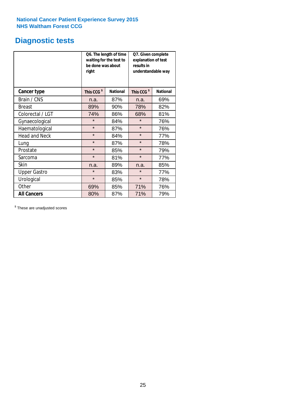# **Diagnostic tests**

|                      | be done was about<br>right | Q6. The length of time<br>waiting for the test to | Q7. Given complete<br>explanation of test<br>results in<br>understandable way |                 |  |  |
|----------------------|----------------------------|---------------------------------------------------|-------------------------------------------------------------------------------|-----------------|--|--|
| <b>Cancer type</b>   | This CCG <sup>\$</sup>     | <b>National</b>                                   | This CCG <sup>\$</sup>                                                        | <b>National</b> |  |  |
| Brain / CNS          | n.a.                       | 87%                                               | n.a.                                                                          | 69%             |  |  |
| <b>Breast</b>        | 89%                        | 90%                                               |                                                                               | 82%             |  |  |
| Colorectal / LGT     | 74%<br>86%                 |                                                   | 68%                                                                           | 81%             |  |  |
| Gynaecological       | $\star$<br>84%             |                                                   | $\star$                                                                       | 76%             |  |  |
| Haematological       | $\star$<br>87%             |                                                   | $\star$                                                                       | 76%             |  |  |
| <b>Head and Neck</b> | $\star$                    | 84%                                               | $\star$                                                                       | 77%             |  |  |
| Lung                 | $\star$                    | 87%                                               | $\star$                                                                       | 78%             |  |  |
| Prostate             | $\star$                    | 85%                                               | $\star$                                                                       | 79%             |  |  |
| Sarcoma              | $\star$                    | 81%                                               | $\star$                                                                       | 77%             |  |  |
| Skin                 | n.a.                       | 89%                                               | n.a.                                                                          | 85%             |  |  |
| <b>Upper Gastro</b>  | $\star$                    | 83%                                               | $\star$                                                                       | 77%             |  |  |
| Urological           | $\star$                    | 85%                                               | $\star$                                                                       | 78%             |  |  |
| Other                | 69%                        | 85%                                               | 71%                                                                           | 76%             |  |  |
| <b>All Cancers</b>   | 80%                        | 87%                                               | 71%                                                                           | 79%             |  |  |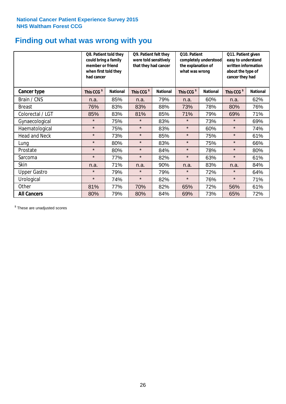### **Finding out what was wrong with you**

|                      | Q8. Patient told they<br>could bring a family<br>member or friend<br>when first told they<br>had cancer |                 | Q9. Patient felt they<br>were told sensitively<br>completely understood<br>that they had cancer<br>the explanation of<br>what was wrong |                 | Q10. Patient           |                 | Q11. Patient given<br>easy to understand<br>written information<br>about the type of<br>cancer they had |                 |
|----------------------|---------------------------------------------------------------------------------------------------------|-----------------|-----------------------------------------------------------------------------------------------------------------------------------------|-----------------|------------------------|-----------------|---------------------------------------------------------------------------------------------------------|-----------------|
| Cancer type          | This CCG <sup>\$</sup>                                                                                  | <b>National</b> | This CCG <sup>\$</sup>                                                                                                                  | <b>National</b> | This CCG <sup>\$</sup> | <b>National</b> | This CCG <sup>\$</sup>                                                                                  | <b>National</b> |
| Brain / CNS          | n.a.                                                                                                    | 85%             | n.a.                                                                                                                                    | 79%             | n.a.                   | 60%             | n.a.                                                                                                    | 62%             |
| <b>Breast</b>        | 76%                                                                                                     | 83%             | 83%                                                                                                                                     | 88%             | 73%                    | 78%             | 80%                                                                                                     | 76%             |
| Colorectal / LGT     | 85%                                                                                                     | 83%             | 81%                                                                                                                                     | 85%             | 71%                    | 79%             | 69%                                                                                                     | 71%             |
| Gynaecological       | $\star$                                                                                                 | 75%             | $\star$                                                                                                                                 | 83%             | $\star$                | 73%             | $\star$                                                                                                 | 69%             |
| Haematological       | $\star$                                                                                                 | 75%             | $\star$                                                                                                                                 | 83%             | $\star$                | 60%             | $\star$                                                                                                 | 74%             |
| <b>Head and Neck</b> | $\star$                                                                                                 | 73%             | $\star$                                                                                                                                 | 85%             | $\star$                | 75%             | $\star$                                                                                                 | 61%             |
| Lung                 | $\star$                                                                                                 | 80%             | $\star$                                                                                                                                 | 83%             | $\star$                | 75%             | $\star$                                                                                                 | 66%             |
| Prostate             | $\star$                                                                                                 | 80%             | $\star$                                                                                                                                 | 84%             | $\star$                | 78%             | $\star$                                                                                                 | 80%             |
| Sarcoma              | $\star$                                                                                                 | 77%             | $\star$                                                                                                                                 | 82%             | $\star$                | 63%             | $\star$                                                                                                 | 61%             |
| Skin                 | n.a.                                                                                                    | 71%             | n.a.                                                                                                                                    | 90%             | n.a.                   | 83%             | n.a.                                                                                                    | 84%             |
| <b>Upper Gastro</b>  | $\star$                                                                                                 | 79%             | $\star$                                                                                                                                 | 79%             | $\star$                | 72%             | $\star$                                                                                                 | 64%             |
| Urological           | $\star$                                                                                                 | 74%             | $\star$                                                                                                                                 | 82%             | $\star$                | 76%             | $\star$                                                                                                 | 71%             |
| Other                | 81%                                                                                                     | 77%             | 70%                                                                                                                                     | 82%             | 65%                    | 72%             | 56%                                                                                                     | 61%             |
| <b>All Cancers</b>   | 80%                                                                                                     | 79%             | 80%                                                                                                                                     | 84%             | 69%                    | 73%             | 65%                                                                                                     | 72%             |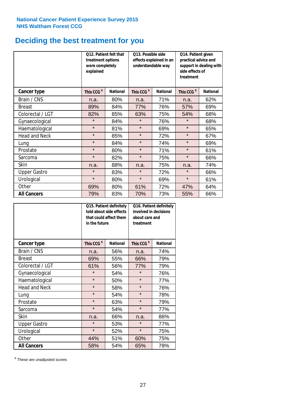### **Deciding the best treatment for you**

|                      | 012. Patient felt that<br>treatment options<br>were completely<br>explained |                 | O13. Possible side<br>understandable way | effects explained in an | Q14. Patient given<br>practical advice and<br>support in dealing with<br>side effects of |                 |
|----------------------|-----------------------------------------------------------------------------|-----------------|------------------------------------------|-------------------------|------------------------------------------------------------------------------------------|-----------------|
| <b>Cancer type</b>   | This CCG <sup>\$</sup>                                                      | <b>National</b> | This CCG <sup>\$</sup>                   | <b>National</b>         | This CCG <sup>\$</sup>                                                                   | <b>National</b> |
| Brain / CNS          | n.a.                                                                        | 80%             | n.a.                                     | 71%                     | n.a.                                                                                     | 62%             |
| <b>Breast</b>        | 89%                                                                         | 84%             | 77%                                      | 76%                     | 57%                                                                                      | 69%             |
| Colorectal / LGT     | 82%                                                                         | 85%             | 63%                                      | 75%                     |                                                                                          | 68%             |
| Gynaecological       | $\star$                                                                     | 84%             | $\star$<br>76%                           |                         | $\star$                                                                                  | 68%             |
| Haematological       | $\star$                                                                     | 81%             | $\star$                                  | 69%                     |                                                                                          | 65%             |
| <b>Head and Neck</b> | $\star$                                                                     | 85%             | $\star$                                  | 72%                     | $\star$                                                                                  | 67%             |
| Lung                 | $\star$                                                                     | 84%             | $\star$                                  | 74%                     | $\star$                                                                                  | 69%             |
| Prostate             | $\star$                                                                     | 80%             | $\star$                                  | 71%                     | $\star$                                                                                  | 61%             |
| Sarcoma              | $\star$                                                                     | 82%             | $\star$                                  | 75%                     | $\star$                                                                                  | 66%             |
| Skin                 | n.a.                                                                        | 88%             | n.a.                                     | 75%                     | n.a.                                                                                     | 74%             |
| <b>Upper Gastro</b>  | $\star$                                                                     | 83%             | $\star$                                  | 72%                     | $\star$                                                                                  | 66%             |
| Urological           | $\star$                                                                     | 80%             | $\star$                                  | 69%                     | $\star$                                                                                  | 61%             |
| Other                | 69%                                                                         | 80%             | 61%                                      | 72%                     | 47%                                                                                      | 64%             |
| <b>All Cancers</b>   | 79%                                                                         | 83%             | 70%                                      | 73%                     | 55%                                                                                      | 66%             |

|                      | in the future          | Q15. Patient definitely<br>told about side effects<br>that could affect them | Q16. Patient definitely<br>involved in decisions<br>about care and<br>treatment |                 |  |
|----------------------|------------------------|------------------------------------------------------------------------------|---------------------------------------------------------------------------------|-----------------|--|
| <b>Cancer type</b>   | This CCG <sup>\$</sup> | <b>National</b>                                                              | This CCG <sup>\$</sup>                                                          | <b>National</b> |  |
| Brain / CNS          | n.a.                   | 56%                                                                          | n.a.                                                                            | 74%             |  |
| <b>Breast</b>        | 69%                    | 55%                                                                          | 66%                                                                             | 79%             |  |
| Colorectal / LGT     | 61%                    | 56%                                                                          | 77%                                                                             | 79%             |  |
| Gynaecological       | $\star$<br>54%         |                                                                              | $\star$                                                                         | 76%             |  |
| Haematological       | $\star$<br>50%         |                                                                              | $\star$                                                                         | 77%             |  |
| <b>Head and Neck</b> | $\star$                | 58%                                                                          | $\star$                                                                         | 76%             |  |
| Lung                 | $\star$                | 54%                                                                          | $\star$                                                                         | 78%             |  |
| Prostate             | $\star$                | 63%                                                                          | $\star$                                                                         | 79%             |  |
| Sarcoma              | $\star$                | 54%                                                                          | $\star$                                                                         | 77%             |  |
| <b>Skin</b>          | n.a.                   | 66%                                                                          | n.a.                                                                            | 86%             |  |
| <b>Upper Gastro</b>  | $\star$                | 53%                                                                          | $\star$                                                                         | 77%             |  |
| Urological           | $\star$                | 52%                                                                          | $\star$                                                                         | 75%             |  |
| Other                | 44%                    | 51%                                                                          | 60%                                                                             | 75%             |  |
| <b>All Cancers</b>   | 58%                    | 54%                                                                          | 65%                                                                             | 78%             |  |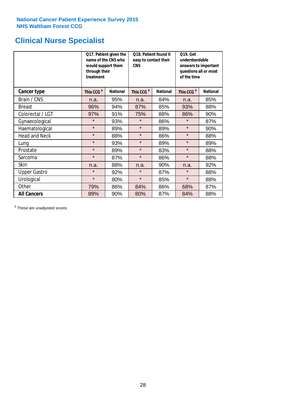# **Clinical Nurse Specialist**

|                      | would support them<br>through their<br>treatment | Q17. Patient given the<br>name of the CNS who | Q18. Patient found it<br>easy to contact their<br><b>CNS</b> |                 | <b>Q19. Get</b><br>understandable<br>answers to important<br>questions all or most<br>of the time |                 |  |
|----------------------|--------------------------------------------------|-----------------------------------------------|--------------------------------------------------------------|-----------------|---------------------------------------------------------------------------------------------------|-----------------|--|
| <b>Cancer type</b>   | This CCG <sup>\$</sup>                           | <b>National</b>                               | This CCG <sup>\$</sup>                                       | <b>National</b> | This CCG <sup>\$</sup>                                                                            | <b>National</b> |  |
| Brain / CNS          | n.a.                                             | 95%                                           | n.a.                                                         | 84%             | n.a.                                                                                              | 85%             |  |
| <b>Breast</b>        | 96%                                              | 94%                                           | 87%                                                          | 85%             | 93%                                                                                               | 88%             |  |
| Colorectal / LGT     | 97%                                              | 91%                                           | 75%                                                          | 88%             | 86%                                                                                               | 90%             |  |
| Gynaecological       | $\star$                                          | 93%                                           | $\star$                                                      | 86%             | $\star$                                                                                           | 87%             |  |
| Haematological       | $\star$                                          | 89%                                           | $\star$                                                      | 89%             | $\star$                                                                                           | 90%             |  |
| <b>Head and Neck</b> | $\star$                                          | 88%                                           | $\star$                                                      | 86%             | $\star$                                                                                           | 88%             |  |
| Lung                 | $\star$                                          | 93%                                           | $\star$                                                      | 89%             | $\star$                                                                                           | 89%             |  |
| Prostate             | $\star$                                          | 89%                                           | $\star$                                                      | 83%             | $\star$                                                                                           | 88%             |  |
| Sarcoma              | $\star$                                          | 87%                                           | $\star$                                                      | 86%             | $\star$                                                                                           | 88%             |  |
| Skin                 | n.a.                                             | 88%                                           | n.a.                                                         | 90%             | n.a.                                                                                              | 92%             |  |
| <b>Upper Gastro</b>  | $\star$                                          | 92%                                           | $\star$                                                      | 87%             | $\star$                                                                                           | 88%             |  |
| Urological           | $\star$                                          | 80%                                           | $\star$                                                      | 85%             | $\star$                                                                                           | 88%             |  |
| Other                | 79%                                              | 86%                                           | 84%                                                          | 86%             | 68%                                                                                               | 87%             |  |
| <b>All Cancers</b>   | 89%                                              | 90%                                           | 80%                                                          | 87%             | 84%                                                                                               | 88%             |  |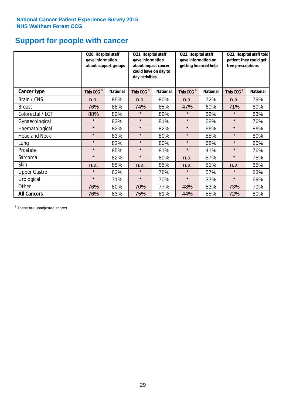# **Support for people with cancer**

|                      | Q20. Hospital staff<br>gave information | about support groups | Q21. Hospital staff<br>gave information<br>about impact cancer<br>could have on day to<br>day activities |                 | Q22. Hospital staff<br>gave information on<br>getting financial help |                 | Q23. Hospital staff told<br>patient they could get<br>free prescriptions |                 |  |
|----------------------|-----------------------------------------|----------------------|----------------------------------------------------------------------------------------------------------|-----------------|----------------------------------------------------------------------|-----------------|--------------------------------------------------------------------------|-----------------|--|
| <b>Cancer type</b>   | This CCG <sup>\$</sup>                  | <b>National</b>      | This CCG <sup>\$</sup>                                                                                   | <b>National</b> | This CCG <sup>\$</sup>                                               | <b>National</b> | This CCG <sup>\$</sup>                                                   | <b>National</b> |  |
| Brain / CNS          | n.a.                                    | 85%                  | n.a.                                                                                                     | 80%             | n.a.                                                                 | 72%             | n.a.                                                                     | 79%             |  |
| <b>Breast</b>        | 76%                                     | 88%                  | 74%                                                                                                      | 85%             | 47%                                                                  | 60%             | 71%                                                                      | 80%             |  |
| Colorectal / LGT     | 88%                                     | 82%                  | $\star$                                                                                                  | 82%             | $\star$                                                              | 52%             | $\star$                                                                  | 83%             |  |
| Gynaecological       | $\star$                                 | 83%                  | $\star$                                                                                                  | 81%             | $\star$                                                              | 58%             | $\star$                                                                  | 76%             |  |
| Haematological       | $\star$                                 | 82%                  | $\star$                                                                                                  | 82%             | $\star$                                                              | 56%             | $\star$                                                                  | 86%             |  |
| <b>Head and Neck</b> | $\star$                                 | 83%                  | $\star$                                                                                                  | 80%             | $\star$                                                              | 55%             | $\star$                                                                  | 80%             |  |
| Lung                 | $\star$                                 | 82%                  | $\star$                                                                                                  | 80%             | $\star$                                                              | 68%             | $\star$                                                                  | 85%             |  |
| Prostate             | $\star$                                 | 85%                  | $\star$                                                                                                  | 81%             | $\star$                                                              | 41%             | $\star$                                                                  | 76%             |  |
| Sarcoma              | $\star$                                 | 82%                  | $\star$                                                                                                  | 80%             | n.a.                                                                 | 57%             | $\star$                                                                  | 75%             |  |
| Skin                 | n.a.                                    | 85%                  | n.a.                                                                                                     | 85%             | n.a.                                                                 | 51%             | n.a.                                                                     | 65%             |  |
| <b>Upper Gastro</b>  | $\star$                                 | 82%                  | $\star$                                                                                                  | 78%             | $\star$                                                              | 57%             | $\star$                                                                  | 83%             |  |
| Urological           | $\star$                                 | 71%                  | $\star$                                                                                                  | 70%             | $\star$                                                              | 33%             | $\star$                                                                  | 69%             |  |
| Other                | 76%                                     | 80%                  | 70%                                                                                                      | 77%             | 48%                                                                  | 53%             | 73%                                                                      | 79%             |  |
| <b>All Cancers</b>   | 76%                                     | 83%                  | 75%                                                                                                      | 81%             | 44%                                                                  | 55%             | 72%                                                                      | 80%             |  |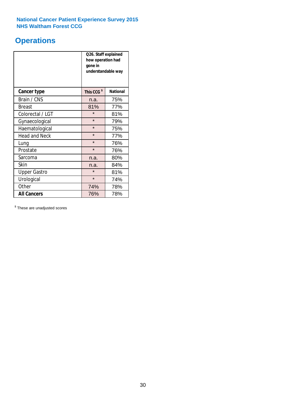### **Operations**

|                      | Q26. Staff explained<br>how operation had<br>gone in<br>understandable way |                 |  |  |
|----------------------|----------------------------------------------------------------------------|-----------------|--|--|
| <b>Cancer type</b>   | This CCG <sup>\$</sup>                                                     | <b>National</b> |  |  |
| Brain / CNS          | n.a.                                                                       | 75%             |  |  |
| <b>Breast</b>        | 81%                                                                        | 77%             |  |  |
| Colorectal / LGT     | $\star$                                                                    | 81%             |  |  |
| Gynaecological       | $\star$                                                                    | 79%             |  |  |
| Haematological       | $\star$<br>75%                                                             |                 |  |  |
| <b>Head and Neck</b> | $\star$                                                                    | 77%             |  |  |
| Lung                 | $\star$                                                                    | 76%             |  |  |
| Prostate             | $\star$                                                                    | 76%             |  |  |
| Sarcoma              | n.a.                                                                       | 80%             |  |  |
| Skin                 | n.a.                                                                       | 84%             |  |  |
| <b>Upper Gastro</b>  | $\star$                                                                    | 81%             |  |  |
| Urological           | $\star$                                                                    | 74%             |  |  |
| Other                | 74%                                                                        | 78%             |  |  |
| <b>All Cancers</b>   | 76%                                                                        | 78%             |  |  |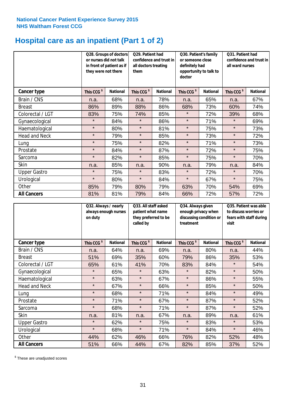### **Hospital care as an inpatient (Part 1 of 2)**

|                      | or nurses did not talk<br>they were not there | Q28. Groups of doctors<br>in front of patient as if | Q29. Patient had<br>confidence and trust in<br>all doctors treating<br>them |                 | Q30. Patient's family<br>or someone close<br>definitely had<br>doctor | opportunity to talk to | Q31. Patient had<br>confidence and trust in  <br>all ward nurses |                 |  |
|----------------------|-----------------------------------------------|-----------------------------------------------------|-----------------------------------------------------------------------------|-----------------|-----------------------------------------------------------------------|------------------------|------------------------------------------------------------------|-----------------|--|
| Cancer type          | This CCG <sup>\$</sup>                        | <b>National</b>                                     | This CCG <sup>\$</sup>                                                      | <b>National</b> | This CCG <sup>\$</sup>                                                | <b>National</b>        | This CCG <sup>\$</sup>                                           | <b>National</b> |  |
| Brain / CNS          | n.a.                                          | 68%                                                 | n.a.                                                                        | 78%             | n.a.                                                                  | 65%                    | n.a.                                                             | 67%             |  |
| <b>Breast</b>        | 86%                                           | 89%                                                 | 88%                                                                         | 86%             | 68%                                                                   | 73%                    | 60%                                                              | 74%             |  |
| Colorectal / LGT     | 83%                                           | 75%                                                 | 74%                                                                         | 85%             | $\star$                                                               | 72%                    | 39%                                                              | 68%             |  |
| Gynaecological       | $\star$                                       | 84%                                                 | $\star$                                                                     | 86%             | $\star$                                                               | 71%                    | $\star$                                                          | 69%             |  |
| Haematological       | $\star$                                       | 80%                                                 | $\star$                                                                     | 81%             | $\star$                                                               | 75%                    | $\star$                                                          | 73%             |  |
| <b>Head and Neck</b> | $\star$                                       | 79%                                                 | $\star$                                                                     | 85%             | $\star$                                                               | 73%                    | $\star$                                                          | 72%             |  |
| Lung                 | $\star$                                       | 75%                                                 | $\star$                                                                     | 82%             | $\star$                                                               | 71%                    | $\star$                                                          | 73%             |  |
| Prostate             | $\star$                                       | 84%                                                 | $\star$                                                                     | 87%             | $\star$                                                               | 72%                    | $\star$                                                          | 75%             |  |
| Sarcoma              | $\star$                                       | 82%                                                 | $\star$                                                                     | 85%             | $\star$                                                               | 75%                    | $\star$                                                          | 70%             |  |
| Skin                 | n.a.                                          | 85%                                                 | n.a.                                                                        | 90%             | n.a.                                                                  | 79%                    | n.a.                                                             | 84%             |  |
| <b>Upper Gastro</b>  | $\star$                                       | 75%                                                 | $\star$                                                                     | 83%             | $\star$                                                               | 72%                    | $\star$                                                          | 70%             |  |
| Urological           | $\star$                                       | 80%                                                 | $\star$                                                                     | 84%             | $\star$                                                               | 67%                    | $\star$                                                          | 75%             |  |
| Other                | 85%                                           | 79%                                                 | 80%                                                                         | 79%             | 63%                                                                   | 70%                    | 54%                                                              | 69%             |  |
| <b>All Cancers</b>   | 81%                                           | 81%                                                 | 79%                                                                         | 84%             | 66%                                                                   | 72%                    | 57%                                                              | 72%             |  |

|                      | Q32. Always / nearly<br>always enough nurses<br>on duty |                 | Q33. All staff asked<br>patient what name<br>they preferred to be<br>called by |                 | Q34. Always given<br>enough privacy when<br>discussing condition or<br>treatment |                 | Q35. Patient was able<br>to discuss worries or<br>fears with staff during<br>visit |                 |
|----------------------|---------------------------------------------------------|-----------------|--------------------------------------------------------------------------------|-----------------|----------------------------------------------------------------------------------|-----------------|------------------------------------------------------------------------------------|-----------------|
| <b>Cancer type</b>   | This CCG <sup>\$</sup>                                  | <b>National</b> | This CCG <sup>\$</sup>                                                         | <b>National</b> | This CCG <sup>\$</sup>                                                           | <b>National</b> | This CCG <sup>\$</sup>                                                             | <b>National</b> |
| Brain / CNS          | n.a.                                                    | 64%             | n.a.                                                                           | 69%             | n.a.                                                                             | 80%             | n.a.                                                                               | 44%             |
| <b>Breast</b>        | 51%                                                     | 69%             | 35%                                                                            | 60%             | 79%                                                                              | 86%             | 35%                                                                                | 53%             |
| Colorectal / LGT     | 65%                                                     | 61%             | 41%                                                                            | 70%             | 83%                                                                              | 84%             | $\star$                                                                            | 54%             |
| Gynaecological       | $\star$                                                 | 65%             | $\star$                                                                        | 63%             | $\star$                                                                          | 82%             | $\star$                                                                            | 50%             |
| Haematological       | $\star$                                                 | 63%             | $\star$                                                                        | 67%             | $\star$                                                                          | 86%             | $\star$                                                                            | 55%             |
| <b>Head and Neck</b> | $\star$                                                 | 67%             | $\star$                                                                        | 66%             | $\star$                                                                          | 85%             | $\star$                                                                            | 50%             |
| Lung                 | $\star$                                                 | 68%             | $\star$                                                                        | 71%             | $\star$                                                                          | 84%             | $\star$                                                                            | 49%             |
| Prostate             | $\star$                                                 | 71%             | $\star$                                                                        | 67%             | $\star$                                                                          | 87%             | $\star$                                                                            | 52%             |
| Sarcoma              | $\star$                                                 | 68%             | $\star$                                                                        | 71%             | $\star$                                                                          | 87%             | $\star$                                                                            | 52%             |
| Skin                 | n.a.                                                    | 81%             | n.a.                                                                           | 67%             | n.a.                                                                             | 89%             | n.a.                                                                               | 61%             |
| <b>Upper Gastro</b>  | $\star$                                                 | 62%             | $\star$                                                                        | 75%             | $\star$                                                                          | 83%             | $\star$                                                                            | 53%             |
| Urological           | $\star$                                                 | 68%             | $\star$                                                                        | 71%             | $\star$                                                                          | 84%             | $\star$                                                                            | 46%             |
| Other                | 44%                                                     | 62%             | 46%                                                                            | 66%             | 76%                                                                              | 82%             | 52%                                                                                | 48%             |
| <b>All Cancers</b>   | 51%                                                     | 66%             | 44%                                                                            | 67%             | 82%                                                                              | 85%             | 37%                                                                                | 52%             |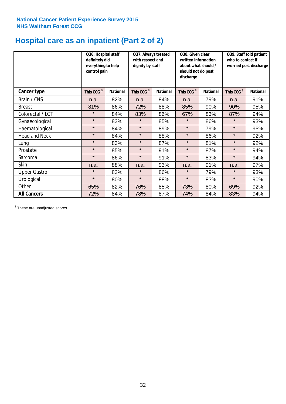### **Hospital care as an inpatient (Part 2 of 2)**

|                      | Q36. Hospital staff<br>definitely did<br>everything to help<br>control pain |                 | Q37. Always treated<br>Q38. Given clear<br>with respect and<br>written information<br>dignity by staff<br>about what should /<br>should not do post<br>discharge |                 | Q39. Staff told patient<br>who to contact if<br>worried post discharge |                 |                        |                 |
|----------------------|-----------------------------------------------------------------------------|-----------------|------------------------------------------------------------------------------------------------------------------------------------------------------------------|-----------------|------------------------------------------------------------------------|-----------------|------------------------|-----------------|
| Cancer type          | This CCG <sup>\$</sup>                                                      | <b>National</b> | This CCG <sup>\$</sup>                                                                                                                                           | <b>National</b> | This CCG <sup>\$</sup>                                                 | <b>National</b> | This CCG <sup>\$</sup> | <b>National</b> |
| Brain / CNS          | n.a.                                                                        | 82%             | n.a.                                                                                                                                                             | 84%             | n.a.                                                                   | 79%             | n.a.                   | 91%             |
| <b>Breast</b>        | 81%                                                                         | 86%             | 72%                                                                                                                                                              | 88%             | 85%                                                                    | 90%             | 90%                    | 95%             |
| Colorectal / LGT     | $\star$                                                                     | 84%             | 83%                                                                                                                                                              | 86%             | 67%                                                                    | 83%             | 87%                    | 94%             |
| Gynaecological       | $\star$                                                                     | 83%             | $\star$                                                                                                                                                          | 85%             | $\star$                                                                | 86%             | $\star$                | 93%             |
| Haematological       | $\star$                                                                     | 84%             | $\star$                                                                                                                                                          | 89%             | $\star$                                                                | 79%             | $\star$                | 95%             |
| <b>Head and Neck</b> | $\star$                                                                     | 84%             | $\star$                                                                                                                                                          | 88%             | $\star$                                                                | 86%             | $\star$                | 92%             |
| Lung                 | $\star$                                                                     | 83%             | $\star$                                                                                                                                                          | 87%             | $\star$                                                                | 81%             | $\star$                | 92%             |
| Prostate             | $\star$                                                                     | 85%             | $\star$                                                                                                                                                          | 91%             | $\star$                                                                | 87%             | $\star$                | 94%             |
| Sarcoma              | $\star$                                                                     | 86%             | $\star$                                                                                                                                                          | 91%             | $\star$                                                                | 83%             | $\star$                | 94%             |
| Skin                 | n.a.                                                                        | 88%             | n.a.                                                                                                                                                             | 93%             | n.a.                                                                   | 91%             | n.a.                   | 97%             |
| <b>Upper Gastro</b>  | $\star$                                                                     | 83%             | $\star$                                                                                                                                                          | 86%             | $\star$                                                                | 79%             | $\star$                | 93%             |
| Urological           | $\star$                                                                     | 80%             | $\star$                                                                                                                                                          | 88%             | $\star$                                                                | 83%             | $\star$                | 90%             |
| Other                | 65%                                                                         | 82%             | 76%                                                                                                                                                              | 85%             | 73%                                                                    | 80%             | 69%                    | 92%             |
| <b>All Cancers</b>   | 72%                                                                         | 84%             | 78%                                                                                                                                                              | 87%             | 74%                                                                    | 84%             | 83%                    | 94%             |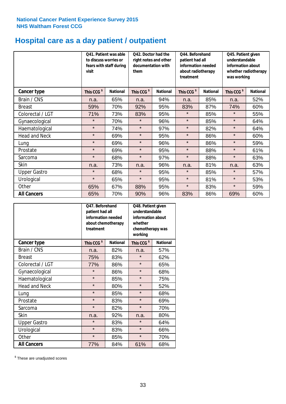### **Hospital care as a day patient / outpatient**

|                      | to discuss worries or<br>visit | Q41. Patient was able<br>fears with staff during | Q42. Doctor had the<br>right notes and other<br>documentation with<br>them |                 | Q44. Beforehand<br>patient had all<br>information needed<br>about radiotherapy<br>treatment |                 | Q45. Patient given<br>understandable<br>information about<br>whether radiotherapy<br>was working |                 |
|----------------------|--------------------------------|--------------------------------------------------|----------------------------------------------------------------------------|-----------------|---------------------------------------------------------------------------------------------|-----------------|--------------------------------------------------------------------------------------------------|-----------------|
| Cancer type          | This CCG <sup>\$</sup>         | <b>National</b>                                  | This CCG <sup>\$</sup>                                                     | <b>National</b> | This CCG <sup>\$</sup>                                                                      | <b>National</b> | This CCG <sup>\$</sup>                                                                           | <b>National</b> |
| Brain / CNS          | n.a.                           | 65%                                              | n.a.                                                                       | 94%             | n.a.                                                                                        | 85%             | n.a.                                                                                             | 52%             |
| <b>Breast</b>        | 59%                            | 70%                                              | 92%                                                                        | 95%             | 83%                                                                                         | 87%             | 74%                                                                                              | 60%             |
| Colorectal / LGT     | 71%                            | 73%                                              | 83%                                                                        | 95%             | $\star$                                                                                     | 85%             | $\star$                                                                                          | 55%             |
| Gynaecological       | $\star$                        | 70%                                              | $\star$                                                                    | 96%             | $\star$                                                                                     | 85%             | $\star$                                                                                          | 64%             |
| Haematological       | $\star$                        | 74%                                              | $\star$                                                                    | 97%             | $\star$                                                                                     | 82%             | $\star$                                                                                          | 64%             |
| <b>Head and Neck</b> | $\star$                        | 69%                                              | $\star$                                                                    | 95%             | $\star$                                                                                     | 86%             | $\star$                                                                                          | 60%             |
| Lung                 | $\star$                        | 69%                                              | $\star$                                                                    | 96%             | $\star$                                                                                     | 86%             | $\star$                                                                                          | 59%             |
| Prostate             | $\star$                        | 69%                                              | $\star$                                                                    | 95%             | $\star$                                                                                     | 88%             | $\star$                                                                                          | 61%             |
| Sarcoma              | $\star$                        | 68%                                              | $\star$                                                                    | 97%             | $\star$                                                                                     | 88%             | $\star$                                                                                          | 63%             |
| Skin                 | n.a.                           | 73%                                              | n.a.                                                                       | 96%             | n.a.                                                                                        | 81%             | n.a.                                                                                             | 63%             |
| <b>Upper Gastro</b>  | $\star$                        | 68%                                              | $\star$                                                                    | 95%             | $\star$                                                                                     | 85%             | $\star$                                                                                          | 57%             |
| Urological           | $\star$                        | 65%                                              | $\star$                                                                    | 95%             | $\star$                                                                                     | 81%             | $\star$                                                                                          | 53%             |
| Other                | 65%                            | 67%                                              | 88%                                                                        | 95%             | $\star$                                                                                     | 83%             | $\star$                                                                                          | 59%             |
| <b>All Cancers</b>   | 65%                            | 70%                                              | 90%                                                                        | 96%             | 83%                                                                                         | 86%             | 69%                                                                                              | 60%             |

|                      | Q47. Beforehand<br>patient had all<br>information needed<br>about chemotherapy<br>treatment | Q48. Patient given<br>understandable<br>information about<br>chemotherapy was |                        |                 |
|----------------------|---------------------------------------------------------------------------------------------|-------------------------------------------------------------------------------|------------------------|-----------------|
| <b>Cancer type</b>   | This CCG <sup>\$</sup>                                                                      | <b>National</b>                                                               | This CCG <sup>\$</sup> | <b>National</b> |
| Brain / CNS          | n.a.                                                                                        | 82%                                                                           | n.a.                   | 57%             |
| <b>Breast</b>        | 75%                                                                                         | 83%                                                                           | $\star$                | 62%             |
| Colorectal / LGT     | 77%                                                                                         | 86%                                                                           | $\star$                | 65%             |
| Gynaecological       | $\star$                                                                                     | 86%                                                                           | $\star$                | 68%             |
| Haematological       | $\star$<br>85%                                                                              |                                                                               | $\star$                | 75%             |
| <b>Head and Neck</b> | $\star$                                                                                     | 80%                                                                           | $\star$                | 52%             |
| Lung                 | $\star$                                                                                     | 85%                                                                           | $\star$                | 68%             |
| Prostate             | $\star$                                                                                     | 83%                                                                           | $\star$                | 69%             |
| Sarcoma              | $\star$                                                                                     | 82%                                                                           | $\star$                | 70%             |
| Skin                 | n.a.                                                                                        | 92%                                                                           | n.a.                   | 80%             |
| <b>Upper Gastro</b>  | $\star$                                                                                     | 83%                                                                           | $\star$                | 64%             |
| Urological           | $\star$                                                                                     | 83%                                                                           | $\star$                | 66%             |
| Other                | $\star$                                                                                     | 85%                                                                           | $\star$                | 70%             |
| <b>All Cancers</b>   | 77%                                                                                         | 84%                                                                           | 61%                    | 68%             |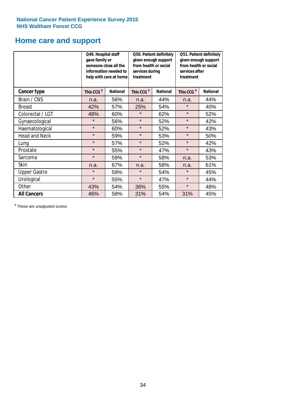### **Home care and support**

|                      | Q49. Hospital staff<br>gave family or | someone close all the<br>information needed to<br>help with care at home | from health or social<br>services during<br>treatment | Q50. Patient definitely<br>given enough support | Q51. Patient definitely<br>given enough support<br>from health or social<br>services after<br>treatment |                 |  |
|----------------------|---------------------------------------|--------------------------------------------------------------------------|-------------------------------------------------------|-------------------------------------------------|---------------------------------------------------------------------------------------------------------|-----------------|--|
| <b>Cancer type</b>   | This CCG <sup>\$</sup>                | <b>National</b>                                                          | This CCG <sup>\$</sup>                                | <b>National</b>                                 | This CCG <sup>\$</sup>                                                                                  | <b>National</b> |  |
| Brain / CNS          | n.a.                                  | 56%                                                                      | n.a.                                                  | 44%                                             | n.a.                                                                                                    | 44%             |  |
| <b>Breast</b>        | 42%                                   | 57%                                                                      | 25%                                                   | 54%                                             | $\star$                                                                                                 | 40%             |  |
| Colorectal / LGT     | 48%                                   | 60%                                                                      | $\star$                                               | 62%                                             | $\star$                                                                                                 | 52%             |  |
| Gynaecological       | $\star$                               | 56%                                                                      | $\star$                                               | 52%                                             | $\star$                                                                                                 | 42%             |  |
| Haematological       | $\star$                               | 60%                                                                      | $\star$                                               | 52%                                             | $\star$                                                                                                 | 43%             |  |
| <b>Head and Neck</b> | $\star$                               | 59%                                                                      | $\star$                                               | 53%                                             | $\star$                                                                                                 | 50%             |  |
| Lung                 | $\star$                               | 57%                                                                      | $\star$                                               | 52%                                             | $\star$                                                                                                 | 42%             |  |
| Prostate             | $\star$                               | 55%                                                                      | $\star$                                               | 47%                                             | $\star$                                                                                                 | 43%             |  |
| Sarcoma              | $\star$                               | 59%                                                                      | $\star$                                               | 58%                                             | n.a.                                                                                                    | 53%             |  |
| Skin                 | n.a.                                  | 67%                                                                      | n.a.                                                  | 58%                                             | n.a.                                                                                                    | 61%             |  |
| <b>Upper Gastro</b>  | $\star$                               | 59%                                                                      | $\star$                                               | 54%                                             | $\star$                                                                                                 | 45%             |  |
| Urological           | $\star$                               | 55%                                                                      | $\star$                                               | 47%                                             |                                                                                                         | 44%             |  |
| Other                | 43%                                   | 54%                                                                      | 36%<br>55%                                            |                                                 | $\star$                                                                                                 | 48%             |  |
| <b>All Cancers</b>   | 46%                                   | 58%                                                                      | 31%                                                   | 54%                                             | 31%                                                                                                     | 45%             |  |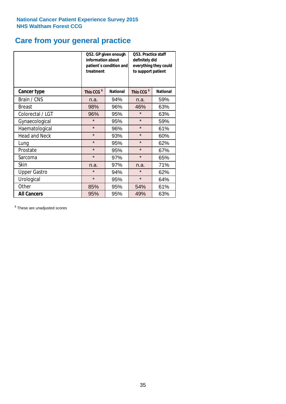### **Care from your general practice**

|                      | information about<br>treatment | Q52. GP given enough<br>patient's condition and | O53. Practice staff<br>definitely did<br>everything they could<br>to support patient |                 |  |
|----------------------|--------------------------------|-------------------------------------------------|--------------------------------------------------------------------------------------|-----------------|--|
| <b>Cancer type</b>   | This CCG <sup>\$</sup>         | <b>National</b>                                 | This CCG <sup>\$</sup>                                                               | <b>National</b> |  |
| Brain / CNS          | n.a.                           | 94%                                             | n.a.                                                                                 | 59%             |  |
| <b>Breast</b>        | 98%                            | 96%                                             | 46%                                                                                  | 63%             |  |
| Colorectal / LGT     | 96%                            | 95%                                             | $\star$                                                                              | 63%             |  |
| Gynaecological       | $\star$                        | 95%                                             | $\star$                                                                              | 59%             |  |
| Haematological       | $\star$                        | 96%                                             |                                                                                      | 61%             |  |
| <b>Head and Neck</b> | $\star$                        | 93%                                             | $\star$                                                                              | 60%             |  |
| Lung                 | $\star$                        | 95%                                             | $\star$                                                                              | 62%             |  |
| Prostate             | $\star$                        | 95%                                             | $\star$                                                                              | 67%             |  |
| Sarcoma              | $\star$                        | 97%                                             | $\star$                                                                              | 65%             |  |
| Skin                 | n.a.                           | 97%                                             | n.a.                                                                                 | 71%             |  |
| <b>Upper Gastro</b>  | $\star$                        | 94%                                             | $\star$                                                                              | 62%             |  |
| Urological           | $\star$                        | 95%                                             | $\star$                                                                              | 64%             |  |
| Other                | 85%                            | 95%                                             | 54%                                                                                  | 61%             |  |
| <b>All Cancers</b>   | 95%                            | 95%                                             | 49%                                                                                  | 63%             |  |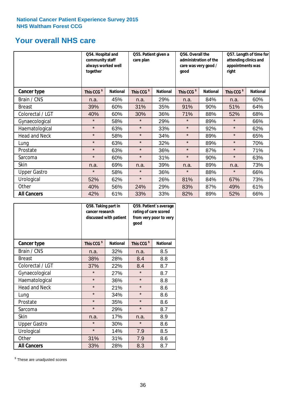### **Your overall NHS care**

|                      | Q54. Hospital and<br>community staff<br>always worked well<br>together |                 | Q55. Patient given a<br>care plan |                 | Q56. Overall the<br>administration of the<br>care was very good /<br>qood |                 | Q57. Length of time for<br>attending clinics and<br>appointments was<br>right |                 |  |
|----------------------|------------------------------------------------------------------------|-----------------|-----------------------------------|-----------------|---------------------------------------------------------------------------|-----------------|-------------------------------------------------------------------------------|-----------------|--|
| <b>Cancer type</b>   | This CCG <sup>\$</sup>                                                 | <b>National</b> | This CCG <sup>\$</sup>            | <b>National</b> | This CCG <sup>\$</sup>                                                    | <b>National</b> | This CCG <sup>\$</sup>                                                        | <b>National</b> |  |
| Brain / CNS          | n.a.                                                                   | 45%             | n.a.                              | 29%             | n.a.                                                                      | 84%             | n.a.                                                                          | 60%             |  |
| <b>Breast</b>        | 39%                                                                    | 60%             | 31%                               | 35%             | 91%                                                                       | 90%             | 51%                                                                           | 64%             |  |
| Colorectal / LGT     | 40%                                                                    | 60%             | 30%                               | 36%             | 71%                                                                       | 88%             | 52%                                                                           | 68%             |  |
| Gynaecological       | $\star$                                                                | 58%             | $\star$                           | 29%             | $\star$                                                                   | 89%             | $\star$                                                                       | 66%             |  |
| Haematological       | $\star$                                                                | 63%             | $\star$                           | 33%             | $\star$                                                                   | 92%             | $\star$                                                                       | 62%             |  |
| <b>Head and Neck</b> | $\star$                                                                | 58%             | $\star$                           | 34%             | $\star$                                                                   | 89%             | $\star$                                                                       | 65%             |  |
| Lung                 | $\star$                                                                | 63%             | $\star$                           | 32%             | $\star$                                                                   | 89%             | $\star$                                                                       | 70%             |  |
| Prostate             | $\star$                                                                | 63%             | $\star$                           | 36%             | $\star$                                                                   | 87%             | $\star$                                                                       | 71%             |  |
| Sarcoma              | $\star$                                                                | 60%             | $\star$                           | 31%             | $\star$                                                                   | 90%             | $\star$                                                                       | 63%             |  |
| Skin                 | n.a.                                                                   | 69%             | n.a.                              | 39%             | n.a.                                                                      | 89%             | n.a.                                                                          | 73%             |  |
| <b>Upper Gastro</b>  | $\star$                                                                | 58%             | $\star$                           | 36%             | $\star$                                                                   | 88%             | $\star$                                                                       | 66%             |  |
| Urological           | 52%                                                                    | 62%             | $\star$                           | 26%             | 81%                                                                       | 84%             | 67%                                                                           | 73%             |  |
| Other                | 40%                                                                    | 56%             | 24%                               | 29%             | 83%                                                                       | 87%             | 49%                                                                           | 61%             |  |
| <b>All Cancers</b>   | 42%                                                                    | 61%             | 33%                               | 33%             | 82%                                                                       | 89%             | 52%                                                                           | 66%             |  |

|                      | Q58. Taking part in<br>cancer research | discussed with patient | good                   | Q59. Patient's average<br>rating of care scored<br>from very poor to very |  |  |
|----------------------|----------------------------------------|------------------------|------------------------|---------------------------------------------------------------------------|--|--|
| <b>Cancer type</b>   | This CCG <sup>\$</sup>                 | <b>National</b>        | This CCG <sup>\$</sup> | <b>National</b>                                                           |  |  |
| Brain / CNS          | n.a.                                   | 32%                    | n.a.                   | 8.5                                                                       |  |  |
| <b>Breast</b>        | 38%                                    | 28%                    | 8.4                    | 8.8                                                                       |  |  |
| Colorectal / LGT     | 37%                                    | 22%                    | 8.4                    | 8.7                                                                       |  |  |
| Gynaecological       | $\star$                                | 27%                    | $\star$                | 8.7                                                                       |  |  |
| Haematological       | $\star$                                | 36%                    | $\star$                | 8.8                                                                       |  |  |
| <b>Head and Neck</b> | $\star$                                | 21%                    | $\star$                | 8.6                                                                       |  |  |
| Lung                 | $\star$                                | 34%                    | $\star$                | 8.6                                                                       |  |  |
| Prostate             | $\star$                                | 35%                    | $\star$                | 8.6                                                                       |  |  |
| Sarcoma              | $\star$                                | 29%                    | $\star$                | 8.7                                                                       |  |  |
| Skin                 | n.a.                                   | 17%                    | n.a.                   | 8.9                                                                       |  |  |
| <b>Upper Gastro</b>  | $\star$                                | 30%                    | $\star$                | 8.6                                                                       |  |  |
| Urological           | $\star$                                | 14%                    | 7.9                    | 8.5                                                                       |  |  |
| Other                | 31%                                    | 31%                    | 7.9                    | 8.6                                                                       |  |  |
| <b>All Cancers</b>   | 33%                                    | 28%                    | 8.3                    | 8.7                                                                       |  |  |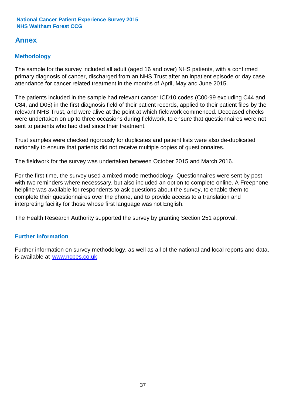### **Annex**

### **Methodology**

The sample for the survey included all adult (aged 16 and over) NHS patients, with a confirmed primary diagnosis of cancer, discharged from an NHS Trust after an inpatient episode or day case attendance for cancer related treatment in the months of April, May and June 2015.

The patients included in the sample had relevant cancer ICD10 codes (C00-99 excluding C44 and C84, and D05) in the first diagnosis field of their patient records, applied to their patient files by the relevant NHS Trust, and were alive at the point at which fieldwork commenced. Deceased checks were undertaken on up to three occasions during fieldwork, to ensure that questionnaires were not sent to patients who had died since their treatment.

Trust samples were checked rigorously for duplicates and patient lists were also de-duplicated nationally to ensure that patients did not receive multiple copies of questionnaires.

The fieldwork for the survey was undertaken between October 2015 and March 2016.

For the first time, the survey used a mixed mode methodology. Questionnaires were sent by post with two reminders where necesssary, but also included an option to complete online. A Freephone helpline was available for respondents to ask questions about the survey, to enable them to complete their questionnaires over the phone, and to provide access to a translation and interpreting facility for those whose first language was not English.

The Health Research Authority supported the survey by granting Section 251 approval.

#### **Further information**

Further information on survey methodology, as well as all of the national and local reports and data, is available at www.ncpes.co.uk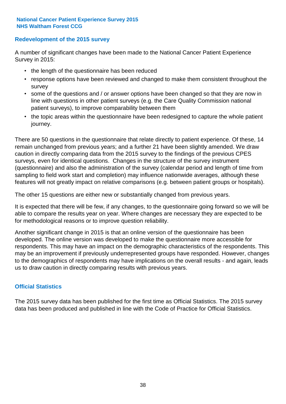#### **Redevelopment of the 2015 survey**

A number of significant changes have been made to the National Cancer Patient Experience Survey in 2015:

- the length of the questionnaire has been reduced
- response options have been reviewed and changed to make them consistent throughout the survey
- some of the questions and / or answer options have been changed so that they are now in line with questions in other patient surveys (e.g. the Care Quality Commission national patient surveys), to improve comparability between them
- the topic areas within the questionnaire have been redesigned to capture the whole patient journey.

There are 50 questions in the questionnaire that relate directly to patient experience. Of these, 14 remain unchanged from previous years; and a further 21 have been slightly amended. We draw caution in directly comparing data from the 2015 survey to the findings of the previous CPES surveys, even for identical questions. Changes in the structure of the survey instrument (questionnaire) and also the administration of the survey (calendar period and length of time from sampling to field work start and completion) may influence nationwide averages, although these features will not greatly impact on relative comparisons (e.g. between patient groups or hospitals).

The other 15 questions are either new or substantially changed from previous years.

It is expected that there will be few, if any changes, to the questionnaire going forward so we will be able to compare the results year on year. Where changes are necessary they are expected to be for methodological reasons or to improve question reliability.

Another significant change in 2015 is that an online version of the questionnaire has been developed. The online version was developed to make the questionnaire more accessible for respondents. This may have an impact on the demographic characteristics of the respondents. This may be an improvement if previously underrepresented groups have responded. However, changes to the demographics of respondents may have implications on the overall results - and again, leads us to draw caution in directly comparing results with previous years.

#### **Official Statistics**

The 2015 survey data has been published for the first time as Official Statistics. The 2015 survey data has been produced and published in line with the Code of Practice for Official Statistics.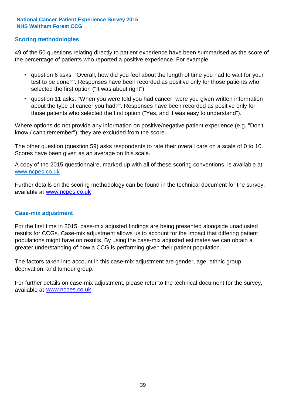#### **Scoring methodologies**

49 of the 50 questions relating directly to patient experience have been summarised as the score of the percentage of patients who reported a positive experience. For example:

- question 6 asks: "Overall, how did you feel about the length of time you had to wait for your test to be done?". Responses have been recorded as positive only for those patients who selected the first option ("It was about right")
- question 11 asks: "When you were told you had cancer, were you given written information about the type of cancer you had?". Responses have been recorded as positive only for those patients who selected the first option ("Yes, and it was easy to understand").

Where options do not provide any information on positive/negative patient experience (e.g. "Don't know / can't remember"), they are excluded from the score.

The other question (question 59) asks respondents to rate their overall care on a scale of 0 to 10. Scores have been given as an average on this scale.

A copy of the 2015 questionnaire, marked up with all of these scoring conventions, is available at www.ncpes.co.uk

Further details on the scoring methodology can be found in the technical document for the survey, available at <u>www.ncpes.co.uk</u>

#### **Case-mix adjustment**

For the first time in 2015, case-mix adjusted findings are being presented alongside unadjusted results for CCGs. Case-mix adjustment allows us to account for the impact that differing patient populations might have on results. By using the case-mix adjusted estimates we can obtain a greater understanding of how a CCG is performing given their patient population.

The factors taken into account in this case-mix adjustment are gender, age, ethnic group, deprivation, and tumour group.

For further details on case-mix adjustment, please refer to the technical document for the survey, available at www.ncpes.co.uk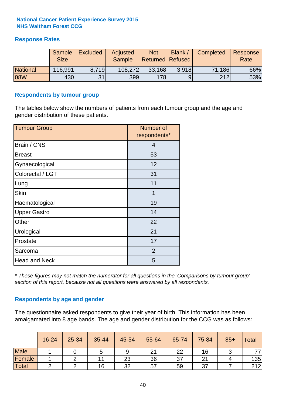#### **Response Rates**

|                 | Sample<br><b>Size</b> | <b>Excluded</b> | Adjusted<br><b>Sample</b> | <b>Not</b><br><b>Returned Refused</b> | <b>Blank</b> | Completed | Response<br>Rate |
|-----------------|-----------------------|-----------------|---------------------------|---------------------------------------|--------------|-----------|------------------|
| <b>National</b> | 116,991               | 8.719           | 108,272                   | 33,168                                | 3.918        | 71,186    | 66%              |
| 08W             | 430                   | 31              | 399                       | 178                                   |              | 212       | 53%              |

#### **Respondents by tumour group**

The tables below show the numbers of patients from each tumour group and the age and gender distribution of these patients.

| <b>Tumour Group</b>  | Number of<br>respondents* |
|----------------------|---------------------------|
| Brain / CNS          | $\overline{4}$            |
| <b>Breast</b>        | 53                        |
| Gynaecological       | 12                        |
| Colorectal / LGT     | 31                        |
| Lung                 | 11                        |
| <b>Skin</b>          | 1                         |
| Haematological       | 19                        |
| <b>Upper Gastro</b>  | 14                        |
| Other                | 22                        |
| Urological           | 21                        |
| Prostate             | 17                        |
| Sarcoma              | 2                         |
| <b>Head and Neck</b> | 5                         |

*\* These figures may not match the numerator for all questions in the 'Comparisons by tumour group' section of this report, because not all questions were answered by all respondents.*

#### **Respondents by age and gender**

The questionnaire asked respondents to give their year of birth. This information has been amalgamated into 8 age bands. The age and gender distribution for the CCG was as follows:

|             | 16-24 | 25-34 | 35-44 | 45-54 | 55-64 | 65-74 | 75-84 | $85+$ | <b>Total</b> |
|-------------|-------|-------|-------|-------|-------|-------|-------|-------|--------------|
| <b>Male</b> |       |       | ັ     | 9     | 21    | 22    | 16    |       | 77,          |
| Female      |       |       | 11    | 23    | 36    | 37    | ິ     |       | 135          |
| Total       |       |       | 16    | 32    | 57    | 59    | 37    |       | 212          |